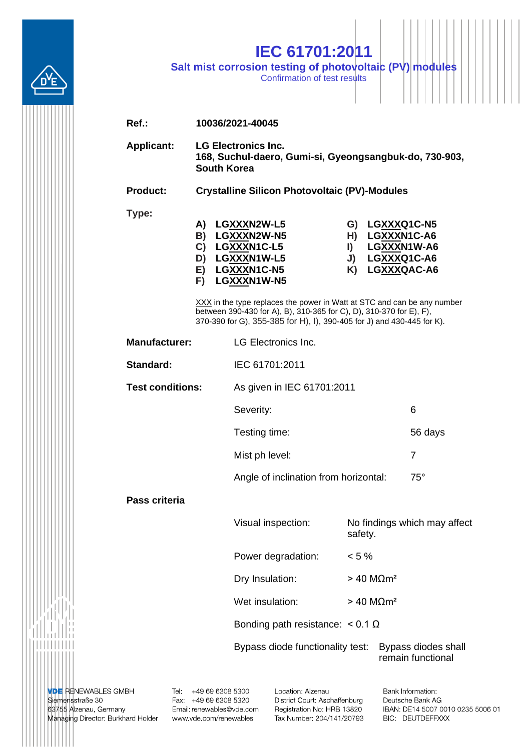|                         |                                                                                                            | <b>IEC 61701:2011</b><br>Salt mist corrosion testing of photovoltaic (PV) modules<br>Confirmation of test results                                                                                                        |                                  |                                                                            |  |  |
|-------------------------|------------------------------------------------------------------------------------------------------------|--------------------------------------------------------------------------------------------------------------------------------------------------------------------------------------------------------------------------|----------------------------------|----------------------------------------------------------------------------|--|--|
| $Ref.$ :                | 10036/2021-40045                                                                                           |                                                                                                                                                                                                                          |                                  |                                                                            |  |  |
| <b>Applicant:</b>       | <b>LG Electronics Inc.</b><br>168, Suchul-daero, Gumi-si, Gyeongsangbuk-do, 730-903,<br><b>South Korea</b> |                                                                                                                                                                                                                          |                                  |                                                                            |  |  |
| Product:                | <b>Crystalline Silicon Photovoltaic (PV)-Modules</b>                                                       |                                                                                                                                                                                                                          |                                  |                                                                            |  |  |
| Type:                   | A)<br>B)<br>$\mathbf{C}$<br>D)<br>E)<br>F)                                                                 | LGXXXN2W-L5<br>LGXXXN2W-N5<br>LGXXXN1C-L5<br>LGXXXN1W-L5<br>LGXXXN1C-N5<br>LGXXXN1W-N5                                                                                                                                   | H)<br>$\blacksquare$<br>J)<br>K) | G) LGXXXQ1C-N5<br>LGXXXN1C-A6<br>LGXXXN1W-A6<br>LGXXXQ1C-A6<br>LGXXXQAC-A6 |  |  |
|                         |                                                                                                            | XXX in the type replaces the power in Watt at STC and can be any number<br>between 390-430 for A), B), 310-365 for C), D), 310-370 for E), F),<br>370-390 for G), 355-385 for H), I), 390-405 for J) and 430-445 for K). |                                  |                                                                            |  |  |
| <b>Manufacturer:</b>    |                                                                                                            | <b>LG Electronics Inc.</b>                                                                                                                                                                                               |                                  |                                                                            |  |  |
| Standard:               |                                                                                                            | IEC 61701:2011                                                                                                                                                                                                           |                                  |                                                                            |  |  |
| <b>Test conditions:</b> |                                                                                                            |                                                                                                                                                                                                                          | As given in IEC 61701:2011       |                                                                            |  |  |
|                         |                                                                                                            | Severity:                                                                                                                                                                                                                |                                  | 6                                                                          |  |  |
|                         |                                                                                                            | Testing time:                                                                                                                                                                                                            |                                  | 56 days                                                                    |  |  |
|                         |                                                                                                            | Mist ph level:                                                                                                                                                                                                           |                                  | $\overline{7}$                                                             |  |  |
|                         |                                                                                                            | Angle of inclination from horizontal:                                                                                                                                                                                    |                                  | $75^\circ$                                                                 |  |  |
| Pass criteria           |                                                                                                            |                                                                                                                                                                                                                          |                                  |                                                                            |  |  |
|                         |                                                                                                            | Visual inspection:                                                                                                                                                                                                       | safety.                          | No findings which may affect                                               |  |  |
|                         |                                                                                                            | Power degradation:                                                                                                                                                                                                       | $< 5 \%$                         |                                                                            |  |  |
|                         |                                                                                                            | Dry Insulation:                                                                                                                                                                                                          |                                  | $> 40$ M $\Omega$ m <sup>2</sup>                                           |  |  |
|                         |                                                                                                            | Wet insulation:                                                                                                                                                                                                          |                                  | $> 40$ M $\Omega$ m <sup>2</sup>                                           |  |  |
|                         |                                                                                                            | Bonding path resistance: $< 0.1 \Omega$                                                                                                                                                                                  |                                  |                                                                            |  |  |
|                         |                                                                                                            | Bypass diode functionality test:                                                                                                                                                                                         |                                  | Bypass diodes shall<br>remain functional                                   |  |  |

**VDE** RENEWABLES GMBH<br>Siemensstraße 30<br>63755 Alzenau, Germany<br>Managing Director: Burkhard Holder

|||||||||||

Tel: +49 69 6308 5300<br>Fax: +49 69 6308 5320 Email: renewables@vde.com www.vde.com/renewables

Location: Alzenau District Court: Aschaffenburg Registration No: HRB 13820 Tax Number: 204/141/20793 Bank Information: Deutsche Bank AG IBAN: DE14 5007 0010 0235 5006 01 BIC: DEUTDEFFXXX